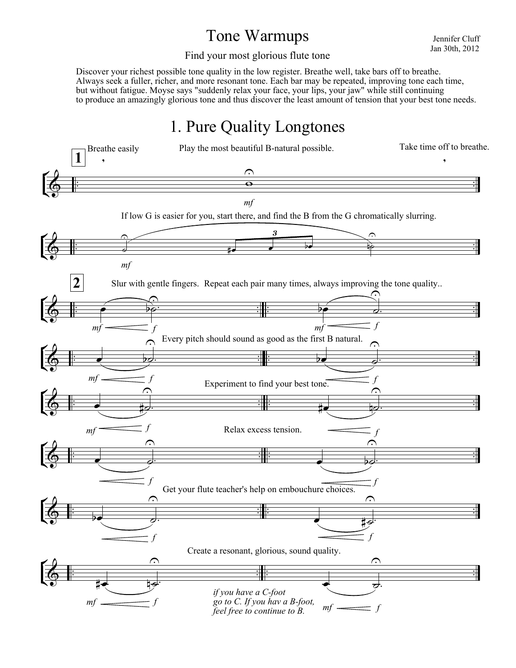## Tone Warmups

Jennifer Cluff Jan 30th, 2012

Find your most glorious flute tone

Discover your richest possible tone quality in the low register. Breathe well, take bars off to breathe. Always seek a fuller, richer, and more resonant tone. Each bar may be repeated, improving tone each time, but without fatigue. Moyse says "suddenly relax your face, your lips, your jaw" while still continuing to produce an amazingly glorious tone and thus discover the least amount of tension that your best tone needs.

# 1. Pure Quality Longtones

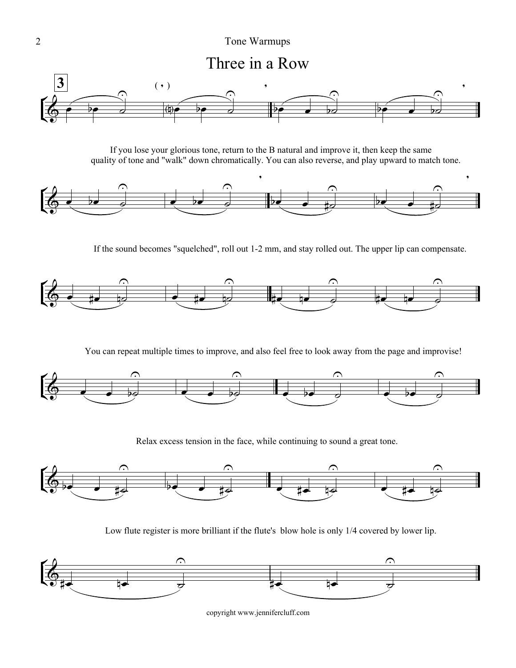#### 2 Tone Warmups

Three in a Row



quality of tone and "walk" down chromatically. You can also reverse, and play upward to match tone. If you lose your glorious tone, return to the B natural and improve it, then keep the same



If the sound becomes "squelched", roll out 1-2 mm, and stay rolled out. The upper lip can compensate.



You can repeat multiple times to improve, and also feel free to look away from the page and improvise!



Relax excess tension in the face, while continuing to sound a great tone.



Low flute register is more brilliant if the flute's blow hole is only 1/4 covered by lower lip.

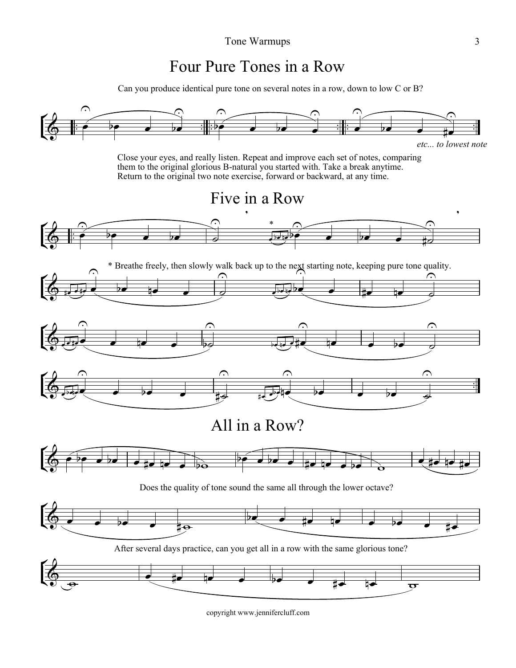## Four Pure Tones in a Row

Can you produce identical pure tone on several notes in a row, down to low C or B?

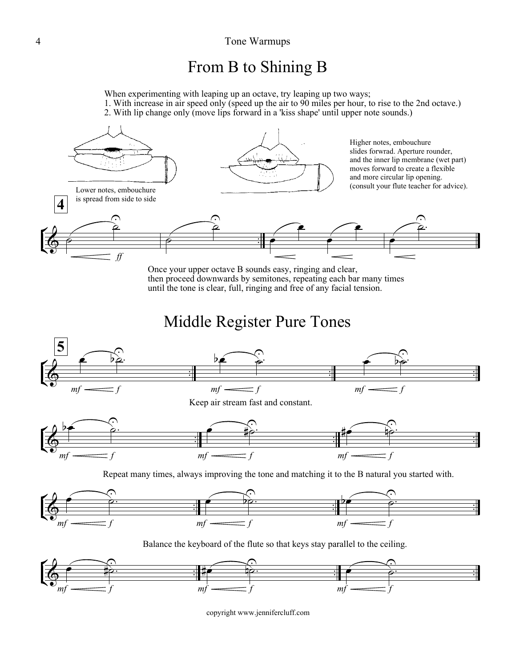### From B to Shining B

When experimenting with leaping up an octave, try leaping up two ways;

1. With increase in air speed only (speed up the air to 90 miles per hour, to rise to the 2nd octave.)

2. With lip change only (move lips forward in a 'kiss shape' until upper note sounds.)



Once your upper octave B sounds easy, ringing and clear, then proceed downwards by semitones, repeating each bar many times until the tone is clear, full, ringing and free of any facial tension.

Middle Register Pure Tones





Balance the keyboard of the flute so that keys stay parallel to the ceiling.

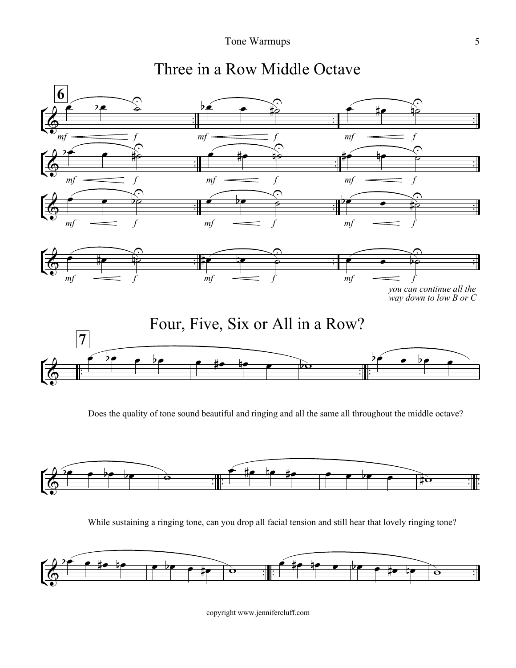

# Three in a Row Middle Octave



Does the quality of tone sound beautiful and ringing and all the same all throughout the middle octave?



While sustaining a ringing tone, can you drop all facial tension and still hear that lovely ringing tone?

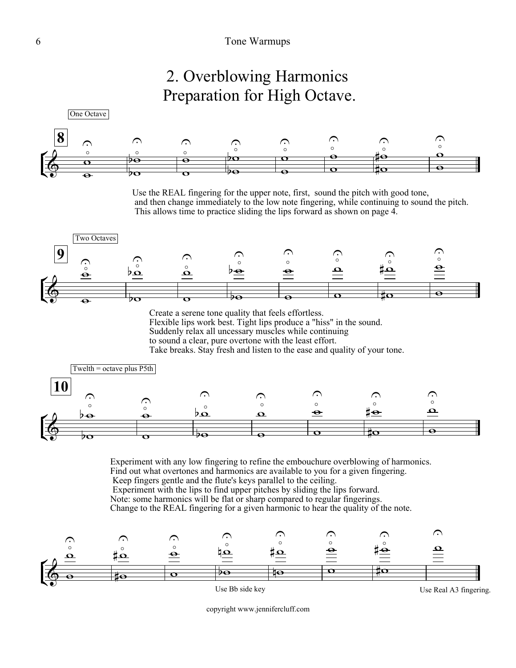## 2. Overblowing Harmonics Preparation for High Octave.



Use the REAL fingering for the upper note, first, sound the pitch with good tone, and then change immediately to the low note fingering, while continuing to sound the pitch. This allows time to practice sliding the lips forward as shown on page 4.



Create a serene tone quality that feels effortless.

Flexible lips work best. Tight lips produce a "hiss" in the sound.

Suddenly relax all uncessary muscles while continuing

to sound a clear, pure overtone with the least effort.

Take breaks. Stay fresh and listen to the ease and quality of your tone.



Experiment with any low fingering to refine the embouchure overblowing of harmonics. Find out what overtones and harmonics are available to you for a given fingering. Keep fingers gentle and the flute's keys parallel to the ceiling. Experiment with the lips to find upper pitches by sliding the lips forward. Note: some harmonics will be flat or sharp compared to regular fingerings. Change to the REAL fingering for a given harmonic to hear the quality of the note.